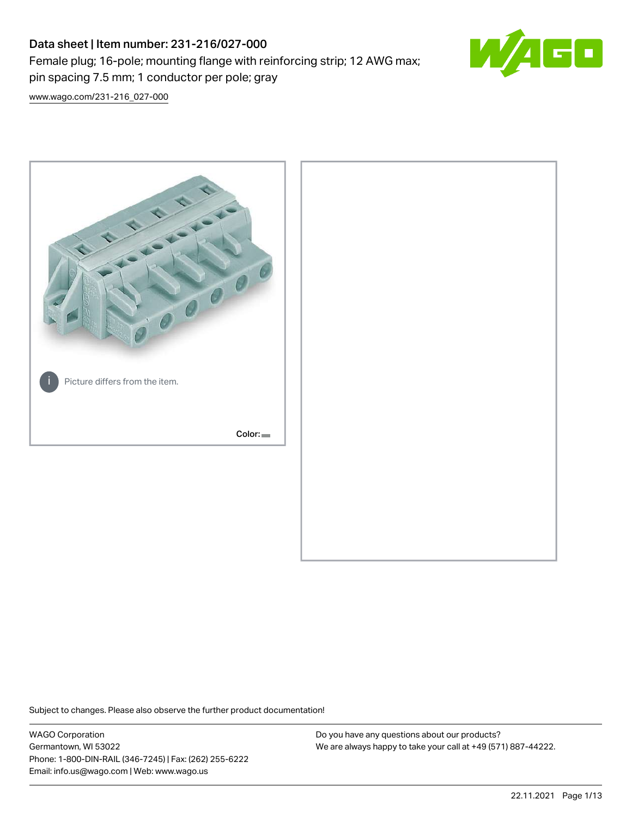# Data sheet | Item number: 231-216/027-000 Female plug; 16-pole; mounting flange with reinforcing strip; 12 AWG max; pin spacing 7.5 mm; 1 conductor per pole; gray



[www.wago.com/231-216\\_027-000](http://www.wago.com/231-216_027-000)



Subject to changes. Please also observe the further product documentation!

WAGO Corporation Germantown, WI 53022 Phone: 1-800-DIN-RAIL (346-7245) | Fax: (262) 255-6222 Email: info.us@wago.com | Web: www.wago.us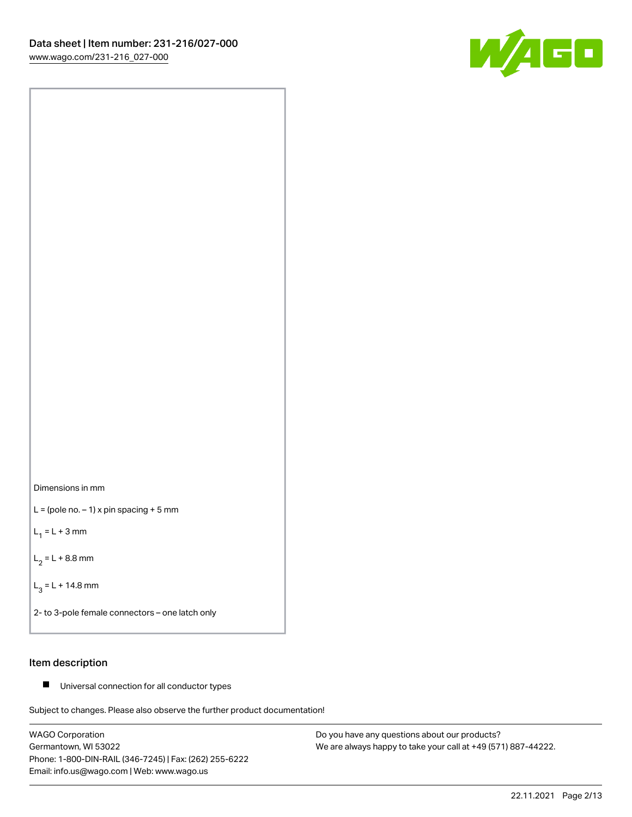



 $L =$  (pole no.  $-1$ ) x pin spacing + 5 mm

 $L_1 = L + 3$  mm

 $L_2 = L + 8.8$  mm

 $L_3 = L + 14.8$  mm

2- to 3-pole female connectors – one latch only

## Item description

■ Universal connection for all conductor types

Subject to changes. Please also observe the further product documentation!

WAGO Corporation Germantown, WI 53022 Phone: 1-800-DIN-RAIL (346-7245) | Fax: (262) 255-6222 Email: info.us@wago.com | Web: www.wago.us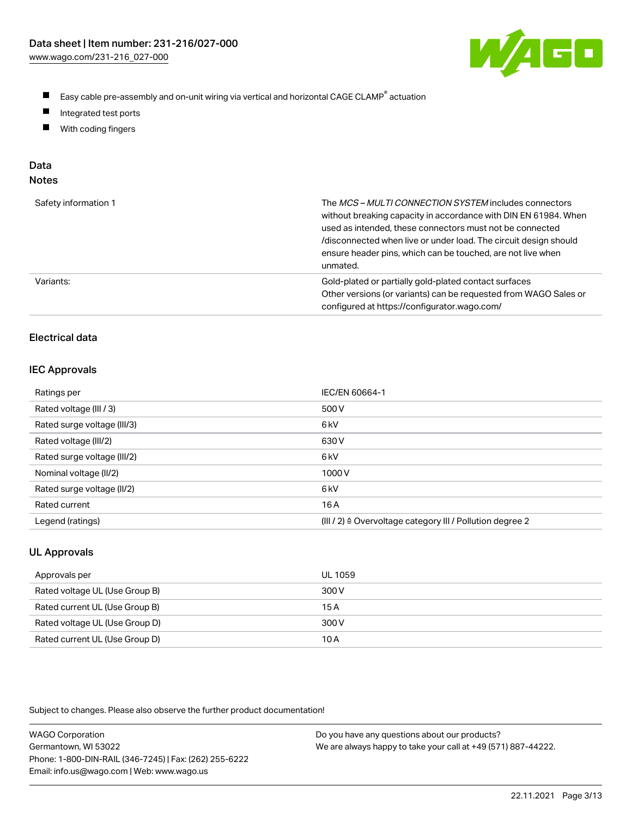

- $\blacksquare$ Easy cable pre-assembly and on-unit wiring via vertical and horizontal CAGE CLAMP<sup>®</sup> actuation
- $\blacksquare$ Integrated test ports
- $\blacksquare$ With coding fingers

# Data

| ×<br>×<br>w<br>٠<br>۹<br>۰, |  |
|-----------------------------|--|
|-----------------------------|--|

| Safety information 1 | The MCS-MULTI CONNECTION SYSTEM includes connectors<br>without breaking capacity in accordance with DIN EN 61984. When<br>used as intended, these connectors must not be connected<br>/disconnected when live or under load. The circuit design should<br>ensure header pins, which can be touched, are not live when<br>unmated. |
|----------------------|-----------------------------------------------------------------------------------------------------------------------------------------------------------------------------------------------------------------------------------------------------------------------------------------------------------------------------------|
| Variants:            | Gold-plated or partially gold-plated contact surfaces<br>Other versions (or variants) can be requested from WAGO Sales or<br>configured at https://configurator.wago.com/                                                                                                                                                         |

## Electrical data

#### IEC Approvals

| Ratings per                 | IEC/EN 60664-1                                                        |
|-----------------------------|-----------------------------------------------------------------------|
| Rated voltage (III / 3)     | 500 V                                                                 |
| Rated surge voltage (III/3) | 6 <sub>k</sub> V                                                      |
| Rated voltage (III/2)       | 630 V                                                                 |
| Rated surge voltage (III/2) | 6 <sub>k</sub> V                                                      |
| Nominal voltage (II/2)      | 1000V                                                                 |
| Rated surge voltage (II/2)  | 6 <sub>k</sub> V                                                      |
| Rated current               | 16 A                                                                  |
| Legend (ratings)            | $(III / 2)$ $\triangle$ Overvoltage category III / Pollution degree 2 |

## UL Approvals

| Approvals per                  | UL 1059 |
|--------------------------------|---------|
| Rated voltage UL (Use Group B) | 300 V   |
| Rated current UL (Use Group B) | 15 A    |
| Rated voltage UL (Use Group D) | 300 V   |
| Rated current UL (Use Group D) | 10 A    |

Subject to changes. Please also observe the further product documentation!

| <b>WAGO Corporation</b>                                | Do you have any questions about our products?                 |
|--------------------------------------------------------|---------------------------------------------------------------|
| Germantown, WI 53022                                   | We are always happy to take your call at +49 (571) 887-44222. |
| Phone: 1-800-DIN-RAIL (346-7245)   Fax: (262) 255-6222 |                                                               |
| Email: info.us@wago.com   Web: www.wago.us             |                                                               |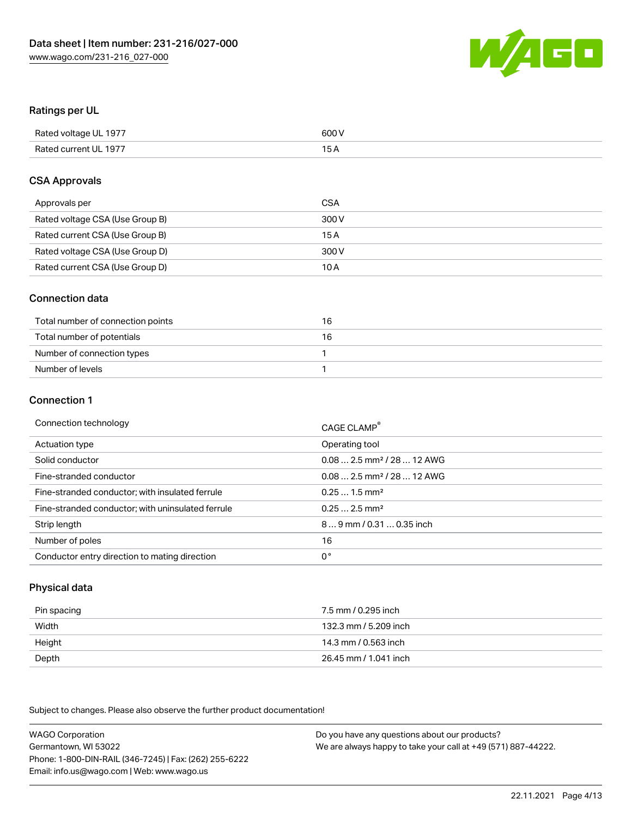

### Ratings per UL

| Rated voltage UL 1977 | 600 V |
|-----------------------|-------|
| Rated current UL 1977 | 1 L   |

#### CSA Approvals

| Approvals per                   | CSA   |
|---------------------------------|-------|
| Rated voltage CSA (Use Group B) | 300 V |
| Rated current CSA (Use Group B) | 15 A  |
| Rated voltage CSA (Use Group D) | 300 V |
| Rated current CSA (Use Group D) | 10 A  |

#### Connection data

| Total number of connection points | 16 |
|-----------------------------------|----|
| Total number of potentials        | 16 |
| Number of connection types        |    |
| Number of levels                  |    |

#### Connection 1

| Connection technology                             | CAGE CLAMP <sup>®</sup>                |
|---------------------------------------------------|----------------------------------------|
| Actuation type                                    | Operating tool                         |
| Solid conductor                                   | $0.082.5$ mm <sup>2</sup> / 28  12 AWG |
| Fine-stranded conductor                           | $0.082.5$ mm <sup>2</sup> / 28  12 AWG |
| Fine-stranded conductor; with insulated ferrule   | $0.251.5$ mm <sup>2</sup>              |
| Fine-stranded conductor; with uninsulated ferrule | $0.252.5$ mm <sup>2</sup>              |
| Strip length                                      | 89 mm / 0.31  0.35 inch                |
| Number of poles                                   | 16                                     |
| Conductor entry direction to mating direction     | 0°                                     |

## Physical data

| Pin spacing | 7.5 mm / 0.295 inch   |
|-------------|-----------------------|
| Width       | 132.3 mm / 5.209 inch |
| Height      | 14.3 mm / 0.563 inch  |
| Depth       | 26.45 mm / 1.041 inch |

Subject to changes. Please also observe the further product documentation!

WAGO Corporation Germantown, WI 53022 Phone: 1-800-DIN-RAIL (346-7245) | Fax: (262) 255-6222 Email: info.us@wago.com | Web: www.wago.us Do you have any questions about our products? We are always happy to take your call at +49 (571) 887-44222.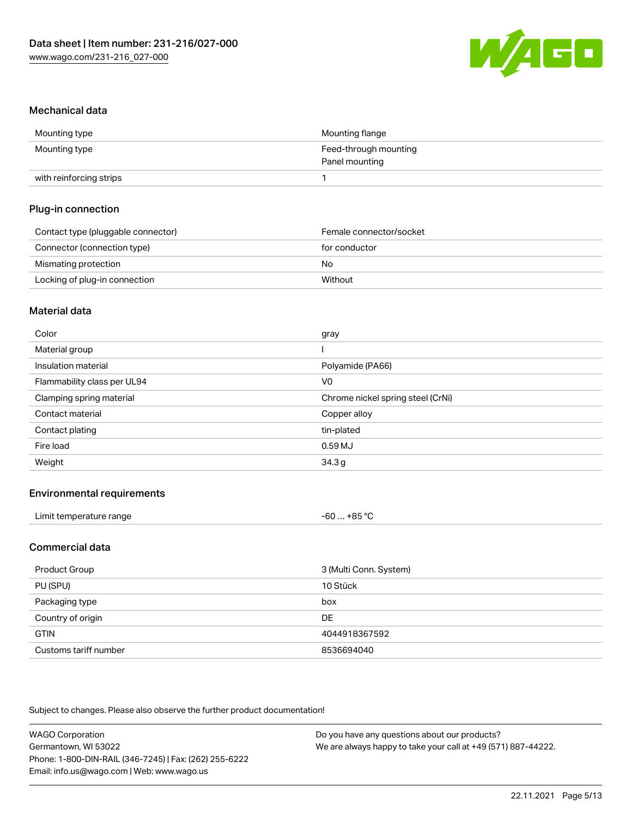

#### Mechanical data

| Mounting type           | Mounting flange       |
|-------------------------|-----------------------|
| Mounting type           | Feed-through mounting |
|                         | Panel mounting        |
| with reinforcing strips |                       |

## Plug-in connection

| Contact type (pluggable connector) | Female connector/socket |
|------------------------------------|-------------------------|
| Connector (connection type)        | for conductor           |
| Mismating protection               | No                      |
| Locking of plug-in connection      | Without                 |

#### Material data

| Color                       | gray                              |
|-----------------------------|-----------------------------------|
| Material group              |                                   |
| Insulation material         | Polyamide (PA66)                  |
| Flammability class per UL94 | V0                                |
| Clamping spring material    | Chrome nickel spring steel (CrNi) |
| Contact material            | Copper alloy                      |
| Contact plating             | tin-plated                        |
| Fire load                   | 0.59MJ                            |
| Weight                      | 34.3g                             |

## Environmental requirements

| Limit temperature range | $. +85 °C$<br>-60 |  |
|-------------------------|-------------------|--|
|-------------------------|-------------------|--|

## Commercial data

| Product Group         | 3 (Multi Conn. System) |
|-----------------------|------------------------|
| PU (SPU)              | 10 Stück               |
| Packaging type        | box                    |
| Country of origin     | <b>DE</b>              |
| <b>GTIN</b>           | 4044918367592          |
| Customs tariff number | 8536694040             |

Subject to changes. Please also observe the further product documentation!

| <b>WAGO Corporation</b>                                | Do you have any questions about our products?                 |
|--------------------------------------------------------|---------------------------------------------------------------|
| Germantown, WI 53022                                   | We are always happy to take your call at +49 (571) 887-44222. |
| Phone: 1-800-DIN-RAIL (346-7245)   Fax: (262) 255-6222 |                                                               |
| Email: info.us@wago.com   Web: www.wago.us             |                                                               |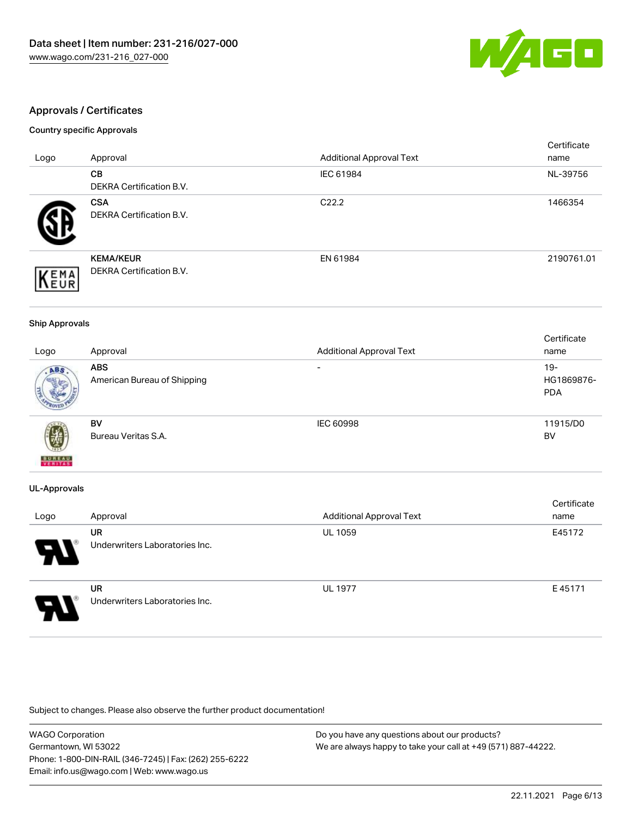

## Approvals / Certificates

#### Country specific Approvals

|                     |                                                     |                                 | Certificate |
|---------------------|-----------------------------------------------------|---------------------------------|-------------|
| Logo                | Approval                                            | <b>Additional Approval Text</b> | name        |
|                     | CВ                                                  | IEC 61984                       | NL-39756    |
|                     | <b>DEKRA Certification B.V.</b>                     |                                 |             |
|                     | <b>CSA</b><br>DEKRA Certification B.V.              | C <sub>22.2</sub>               | 1466354     |
| EMA<br><b>INEUR</b> | <b>KEMA/KEUR</b><br><b>DEKRA Certification B.V.</b> | EN 61984                        | 2190761.01  |

#### Ship Approvals

|                          |                             |                                 | Certificate |
|--------------------------|-----------------------------|---------------------------------|-------------|
| Logo                     | Approval                    | <b>Additional Approval Text</b> | name        |
| ABS                      | <b>ABS</b>                  | $\overline{\phantom{0}}$        | $19-$       |
|                          | American Bureau of Shipping |                                 | HG1869876-  |
|                          |                             |                                 | <b>PDA</b>  |
|                          |                             |                                 |             |
|                          | BV                          | IEC 60998                       | 11915/D0    |
| Ŵ                        | Bureau Veritas S.A.         |                                 | BV          |
| <b>BUREAU</b><br>VERITAS |                             |                                 |             |

#### UL-Approvals

| Logo                  | Approval                                    | <b>Additional Approval Text</b> | Certificate<br>name |
|-----------------------|---------------------------------------------|---------------------------------|---------------------|
| $\boldsymbol{\theta}$ | <b>UR</b><br>Underwriters Laboratories Inc. | <b>UL 1059</b>                  | E45172              |
| Э                     | <b>UR</b><br>Underwriters Laboratories Inc. | <b>UL 1977</b>                  | E45171              |

Subject to changes. Please also observe the further product documentation!

| <b>WAGO Corporation</b>                                | Do you have any questions about our products?                 |
|--------------------------------------------------------|---------------------------------------------------------------|
| Germantown, WI 53022                                   | We are always happy to take your call at +49 (571) 887-44222. |
| Phone: 1-800-DIN-RAIL (346-7245)   Fax: (262) 255-6222 |                                                               |
| Email: info.us@wago.com   Web: www.wago.us             |                                                               |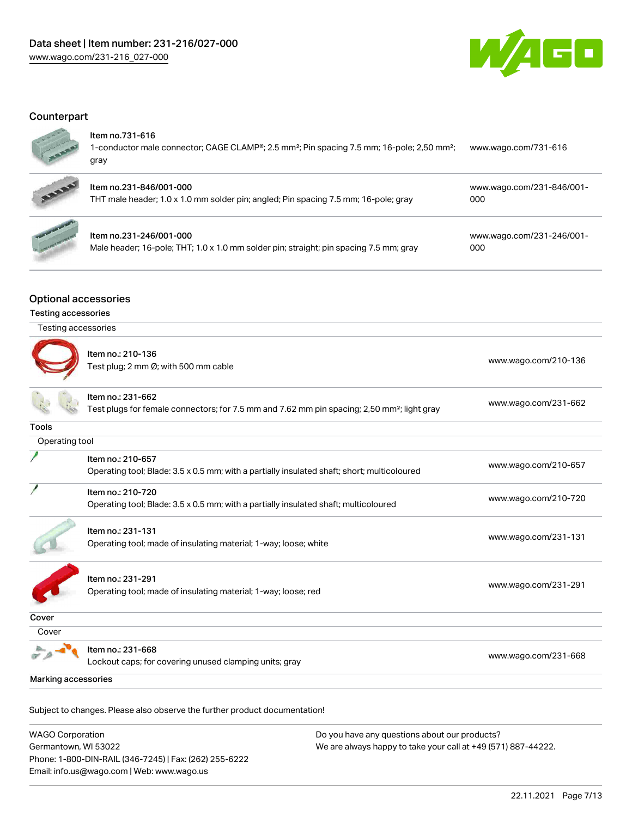

## **Counterpart**



#### Item no.731-616

| gray                                                                                                               |                      |  |
|--------------------------------------------------------------------------------------------------------------------|----------------------|--|
| 1-conductor male connector; CAGE CLAMP®; 2.5 mm <sup>2</sup> ; Pin spacing 7.5 mm; 16-pole; 2,50 mm <sup>2</sup> ; | www.wago.com/731-616 |  |
|                                                                                                                    |                      |  |



| Item no.231-846/001-000                                                             | www.wago.com/231-846/001- |
|-------------------------------------------------------------------------------------|---------------------------|
| THT male header; 1.0 x 1.0 mm solder pin; angled; Pin spacing 7.5 mm; 16-pole; gray | 000                       |



## Item no.231-246/001-000

Male header; 16-pole; THT; 1.0 x 1.0 mm solder pin; straight; pin spacing 7.5 mm; gray

[www.wago.com/231-246/001-](https://www.wago.com/231-246/001-000) [000](https://www.wago.com/231-246/001-000)

## Optional accessories

#### Testing accessories

| Testing accessories |                                                                                                                              |                      |
|---------------------|------------------------------------------------------------------------------------------------------------------------------|----------------------|
|                     | Item no.: 210-136<br>Test plug; 2 mm Ø; with 500 mm cable                                                                    | www.wago.com/210-136 |
|                     | Item no.: 231-662<br>Test plugs for female connectors; for 7.5 mm and 7.62 mm pin spacing; 2,50 mm <sup>2</sup> ; light gray | www.wago.com/231-662 |
| <b>Tools</b>        |                                                                                                                              |                      |
| Operating tool      |                                                                                                                              |                      |
|                     | Item no.: 210-657<br>Operating tool; Blade: 3.5 x 0.5 mm; with a partially insulated shaft; short; multicoloured             | www.wago.com/210-657 |
|                     | Item no.: 210-720<br>Operating tool; Blade: 3.5 x 0.5 mm; with a partially insulated shaft; multicoloured                    | www.wago.com/210-720 |
|                     | Item no.: 231-131<br>Operating tool; made of insulating material; 1-way; loose; white                                        | www.wago.com/231-131 |
|                     | Item no.: 231-291<br>Operating tool; made of insulating material; 1-way; loose; red                                          | www.wago.com/231-291 |
| Cover               |                                                                                                                              |                      |
| Cover               |                                                                                                                              |                      |
|                     | Item no.: 231-668<br>Lockout caps; for covering unused clamping units; gray                                                  | www.wago.com/231-668 |
| Marking accessories |                                                                                                                              |                      |

Subject to changes. Please also observe the further product documentation!

WAGO Corporation Germantown, WI 53022 Phone: 1-800-DIN-RAIL (346-7245) | Fax: (262) 255-6222 Email: info.us@wago.com | Web: www.wago.us Do you have any questions about our products? We are always happy to take your call at +49 (571) 887-44222.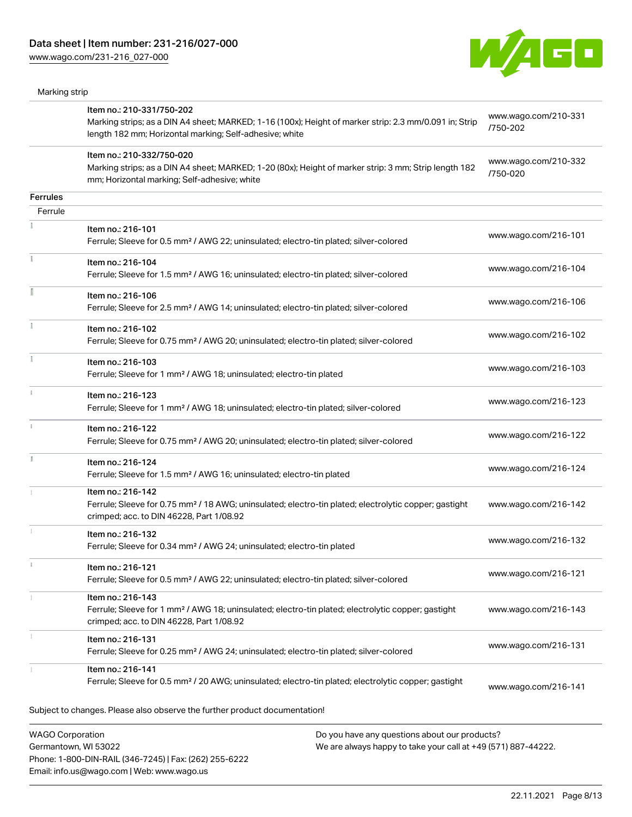Phone: 1-800-DIN-RAIL (346-7245) | Fax: (262) 255-6222

Email: info.us@wago.com | Web: www.wago.us

[www.wago.com/231-216\\_027-000](http://www.wago.com/231-216_027-000)



| Marking strip                                   |                                                                                                                                                                                                |                                                                                                                |                                  |
|-------------------------------------------------|------------------------------------------------------------------------------------------------------------------------------------------------------------------------------------------------|----------------------------------------------------------------------------------------------------------------|----------------------------------|
|                                                 | Item no.: 210-331/750-202<br>Marking strips; as a DIN A4 sheet; MARKED; 1-16 (100x); Height of marker strip: 2.3 mm/0.091 in; Strip<br>length 182 mm; Horizontal marking; Self-adhesive; white |                                                                                                                | www.wago.com/210-331<br>/750-202 |
|                                                 | Item no.: 210-332/750-020<br>Marking strips; as a DIN A4 sheet; MARKED; 1-20 (80x); Height of marker strip: 3 mm; Strip length 182<br>mm; Horizontal marking; Self-adhesive; white             |                                                                                                                | www.wago.com/210-332<br>/750-020 |
| <b>Ferrules</b>                                 |                                                                                                                                                                                                |                                                                                                                |                                  |
| Ferrule                                         |                                                                                                                                                                                                |                                                                                                                |                                  |
|                                                 | Item no.: 216-101<br>Ferrule; Sleeve for 0.5 mm <sup>2</sup> / AWG 22; uninsulated; electro-tin plated; silver-colored                                                                         |                                                                                                                | www.wago.com/216-101             |
|                                                 | Item no.: 216-104<br>Ferrule; Sleeve for 1.5 mm <sup>2</sup> / AWG 16; uninsulated; electro-tin plated; silver-colored                                                                         |                                                                                                                | www.wago.com/216-104             |
|                                                 | Item no.: 216-106<br>Ferrule; Sleeve for 2.5 mm <sup>2</sup> / AWG 14; uninsulated; electro-tin plated; silver-colored                                                                         |                                                                                                                | www.wago.com/216-106             |
|                                                 | Item no.: 216-102<br>Ferrule; Sleeve for 0.75 mm <sup>2</sup> / AWG 20; uninsulated; electro-tin plated; silver-colored                                                                        |                                                                                                                | www.wago.com/216-102             |
|                                                 | Item no.: 216-103<br>Ferrule; Sleeve for 1 mm <sup>2</sup> / AWG 18; uninsulated; electro-tin plated                                                                                           |                                                                                                                | www.wago.com/216-103             |
|                                                 | Item no.: 216-123<br>Ferrule; Sleeve for 1 mm <sup>2</sup> / AWG 18; uninsulated; electro-tin plated; silver-colored                                                                           |                                                                                                                | www.wago.com/216-123             |
|                                                 | Item no.: 216-122<br>Ferrule; Sleeve for 0.75 mm <sup>2</sup> / AWG 20; uninsulated; electro-tin plated; silver-colored                                                                        |                                                                                                                | www.wago.com/216-122             |
| B                                               | Item no.: 216-124<br>Ferrule; Sleeve for 1.5 mm <sup>2</sup> / AWG 16; uninsulated; electro-tin plated                                                                                         |                                                                                                                | www.wago.com/216-124             |
|                                                 | Item no.: 216-142<br>Ferrule; Sleeve for 0.75 mm <sup>2</sup> / 18 AWG; uninsulated; electro-tin plated; electrolytic copper; gastight<br>crimped; acc. to DIN 46228, Part 1/08.92             |                                                                                                                | www.wago.com/216-142             |
|                                                 | Item no.: 216-132<br>Ferrule; Sleeve for 0.34 mm <sup>2</sup> / AWG 24; uninsulated; electro-tin plated                                                                                        |                                                                                                                | www.wago.com/216-132             |
| i                                               | Item no.: 216-121<br>Ferrule; Sleeve for 0.5 mm <sup>2</sup> / AWG 22; uninsulated; electro-tin plated; silver-colored                                                                         |                                                                                                                | www.wago.com/216-121             |
|                                                 | Item no.: 216-143<br>Ferrule; Sleeve for 1 mm <sup>2</sup> / AWG 18; uninsulated; electro-tin plated; electrolytic copper; gastight<br>crimped; acc. to DIN 46228, Part 1/08.92                |                                                                                                                | www.wago.com/216-143             |
|                                                 | Item no.: 216-131<br>Ferrule; Sleeve for 0.25 mm <sup>2</sup> / AWG 24; uninsulated; electro-tin plated; silver-colored                                                                        |                                                                                                                | www.wago.com/216-131             |
|                                                 | Item no.: 216-141<br>Ferrule; Sleeve for 0.5 mm <sup>2</sup> / 20 AWG; uninsulated; electro-tin plated; electrolytic copper; gastight                                                          |                                                                                                                | www.wago.com/216-141             |
|                                                 | Subject to changes. Please also observe the further product documentation!                                                                                                                     |                                                                                                                |                                  |
| <b>WAGO Corporation</b><br>Germantown, WI 53022 |                                                                                                                                                                                                | Do you have any questions about our products?<br>We are always happy to take your call at +49 (571) 887-44222. |                                  |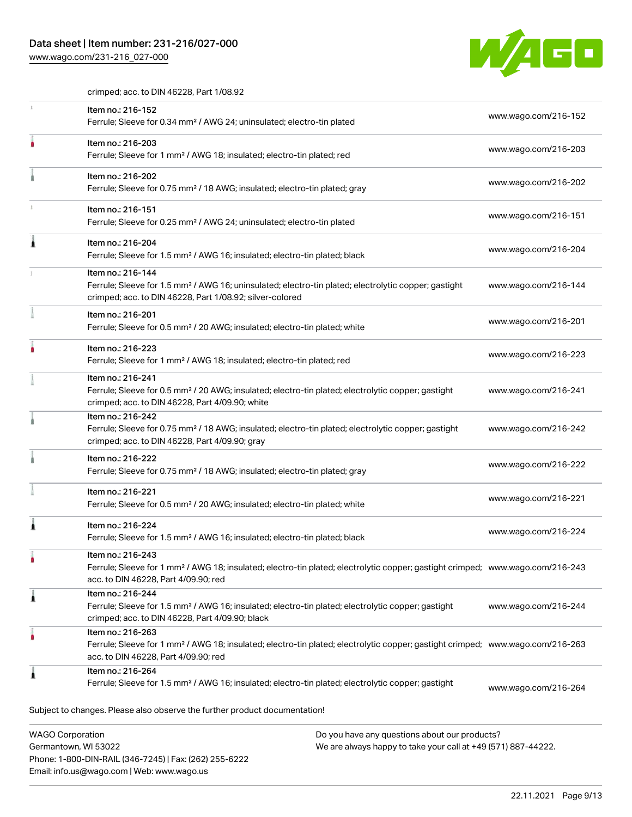## Data sheet | Item number: 231-216/027-000

Phone: 1-800-DIN-RAIL (346-7245) | Fax: (262) 255-6222

Email: info.us@wago.com | Web: www.wago.us

[www.wago.com/231-216\\_027-000](http://www.wago.com/231-216_027-000)



crimped; acc. to DIN 46228, Part 1/08.92

|                                                 | Item no.: 216-152                                                                                                                                                                                       |                                                                                                                |                      |  |
|-------------------------------------------------|---------------------------------------------------------------------------------------------------------------------------------------------------------------------------------------------------------|----------------------------------------------------------------------------------------------------------------|----------------------|--|
|                                                 | Ferrule; Sleeve for 0.34 mm <sup>2</sup> / AWG 24; uninsulated; electro-tin plated                                                                                                                      |                                                                                                                | www.wago.com/216-152 |  |
|                                                 | Item no.: 216-203<br>Ferrule; Sleeve for 1 mm <sup>2</sup> / AWG 18; insulated; electro-tin plated; red                                                                                                 |                                                                                                                | www.wago.com/216-203 |  |
|                                                 | Item no.: 216-202<br>Ferrule; Sleeve for 0.75 mm <sup>2</sup> / 18 AWG; insulated; electro-tin plated; gray                                                                                             |                                                                                                                | www.wago.com/216-202 |  |
|                                                 | Item no.: 216-151<br>Ferrule; Sleeve for 0.25 mm <sup>2</sup> / AWG 24; uninsulated; electro-tin plated                                                                                                 |                                                                                                                | www.wago.com/216-151 |  |
|                                                 | Item no.: 216-204<br>Ferrule; Sleeve for 1.5 mm <sup>2</sup> / AWG 16; insulated; electro-tin plated; black                                                                                             |                                                                                                                | www.wago.com/216-204 |  |
|                                                 | Item no.: 216-144<br>Ferrule; Sleeve for 1.5 mm <sup>2</sup> / AWG 16; uninsulated; electro-tin plated; electrolytic copper; gastight<br>crimped; acc. to DIN 46228, Part 1/08.92; silver-colored       |                                                                                                                | www.wago.com/216-144 |  |
|                                                 | Item no.: 216-201<br>Ferrule; Sleeve for 0.5 mm <sup>2</sup> / 20 AWG; insulated; electro-tin plated; white                                                                                             |                                                                                                                | www.wago.com/216-201 |  |
|                                                 | Item no.: 216-223<br>Ferrule; Sleeve for 1 mm <sup>2</sup> / AWG 18; insulated; electro-tin plated; red                                                                                                 |                                                                                                                | www.wago.com/216-223 |  |
|                                                 | Item no.: 216-241<br>Ferrule; Sleeve for 0.5 mm <sup>2</sup> / 20 AWG; insulated; electro-tin plated; electrolytic copper; gastight<br>crimped; acc. to DIN 46228, Part 4/09.90; white                  |                                                                                                                | www.wago.com/216-241 |  |
|                                                 | Item no.: 216-242<br>Ferrule; Sleeve for 0.75 mm <sup>2</sup> / 18 AWG; insulated; electro-tin plated; electrolytic copper; gastight<br>crimped; acc. to DIN 46228, Part 4/09.90; gray                  |                                                                                                                | www.wago.com/216-242 |  |
|                                                 | Item no.: 216-222<br>Ferrule; Sleeve for 0.75 mm <sup>2</sup> / 18 AWG; insulated; electro-tin plated; gray                                                                                             |                                                                                                                | www.wago.com/216-222 |  |
|                                                 | Item no.: 216-221<br>Ferrule; Sleeve for 0.5 mm <sup>2</sup> / 20 AWG; insulated; electro-tin plated; white                                                                                             |                                                                                                                | www.wago.com/216-221 |  |
|                                                 | Item no.: 216-224<br>Ferrule; Sleeve for 1.5 mm <sup>2</sup> / AWG 16; insulated; electro-tin plated; black                                                                                             |                                                                                                                | www.wago.com/216-224 |  |
|                                                 | Item no.: 216-243<br>Ferrule; Sleeve for 1 mm <sup>2</sup> / AWG 18; insulated; electro-tin plated; electrolytic copper; gastight crimped; www.wago.com/216-243<br>acc. to DIN 46228, Part 4/09.90; red |                                                                                                                |                      |  |
| 1                                               | Item no.: 216-244<br>Ferrule; Sleeve for 1.5 mm <sup>2</sup> / AWG 16; insulated; electro-tin plated; electrolytic copper; gastight<br>crimped; acc. to DIN 46228, Part 4/09.90; black                  |                                                                                                                | www.wago.com/216-244 |  |
|                                                 | Item no.: 216-263<br>Ferrule; Sleeve for 1 mm <sup>2</sup> / AWG 18; insulated; electro-tin plated; electrolytic copper; gastight crimped; www.wago.com/216-263<br>acc. to DIN 46228, Part 4/09.90; red |                                                                                                                |                      |  |
| 1                                               | Item no.: 216-264<br>Ferrule; Sleeve for 1.5 mm <sup>2</sup> / AWG 16; insulated; electro-tin plated; electrolytic copper; gastight                                                                     |                                                                                                                | www.wago.com/216-264 |  |
|                                                 | Subject to changes. Please also observe the further product documentation!                                                                                                                              |                                                                                                                |                      |  |
| <b>WAGO Corporation</b><br>Germantown, WI 53022 |                                                                                                                                                                                                         | Do you have any questions about our products?<br>We are always happy to take your call at +49 (571) 887-44222. |                      |  |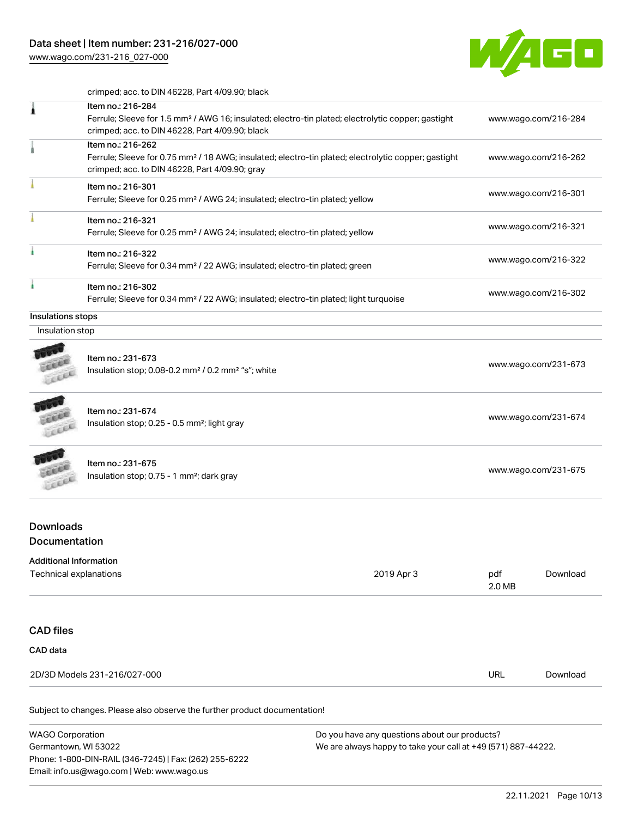[www.wago.com/231-216\\_027-000](http://www.wago.com/231-216_027-000)



crimped; acc. to DIN 46228, Part 4/09.90; black

| 1                                                       | Item no.: 216-284                                                                                                                                                                      |                                                                                                                           |                      |                      |
|---------------------------------------------------------|----------------------------------------------------------------------------------------------------------------------------------------------------------------------------------------|---------------------------------------------------------------------------------------------------------------------------|----------------------|----------------------|
|                                                         | Ferrule; Sleeve for 1.5 mm <sup>2</sup> / AWG 16; insulated; electro-tin plated; electrolytic copper; gastight<br>crimped; acc. to DIN 46228, Part 4/09.90; black                      |                                                                                                                           |                      | www.wago.com/216-284 |
| 1                                                       | Item no.: 216-262<br>Ferrule; Sleeve for 0.75 mm <sup>2</sup> / 18 AWG; insulated; electro-tin plated; electrolytic copper; gastight<br>crimped; acc. to DIN 46228, Part 4/09.90; gray |                                                                                                                           |                      | www.wago.com/216-262 |
|                                                         | Item no.: 216-301<br>Ferrule; Sleeve for 0.25 mm <sup>2</sup> / AWG 24; insulated; electro-tin plated; yellow                                                                          |                                                                                                                           |                      | www.wago.com/216-301 |
|                                                         | Item no.: 216-321<br>Ferrule; Sleeve for 0.25 mm <sup>2</sup> / AWG 24; insulated; electro-tin plated; yellow                                                                          |                                                                                                                           |                      | www.wago.com/216-321 |
|                                                         | Item no.: 216-322<br>Ferrule; Sleeve for 0.34 mm <sup>2</sup> / 22 AWG; insulated; electro-tin plated; green                                                                           |                                                                                                                           | www.wago.com/216-322 |                      |
| ۸                                                       | Item no.: 216-302                                                                                                                                                                      | www.wago.com/216-302<br>Ferrule; Sleeve for 0.34 mm <sup>2</sup> / 22 AWG; insulated; electro-tin plated; light turquoise |                      |                      |
| Insulations stops                                       |                                                                                                                                                                                        |                                                                                                                           |                      |                      |
| Insulation stop                                         |                                                                                                                                                                                        |                                                                                                                           |                      |                      |
|                                                         | Item no.: 231-673<br>Insulation stop; 0.08-0.2 mm <sup>2</sup> / 0.2 mm <sup>2</sup> "s"; white                                                                                        |                                                                                                                           |                      | www.wago.com/231-673 |
| Leee                                                    | Item no.: 231-674<br>Insulation stop; 0.25 - 0.5 mm <sup>2</sup> ; light gray                                                                                                          |                                                                                                                           |                      | www.wago.com/231-674 |
|                                                         | Item no.: 231-675<br>Insulation stop; 0.75 - 1 mm <sup>2</sup> ; dark gray                                                                                                             |                                                                                                                           | www.wago.com/231-675 |                      |
| <b>Downloads</b>                                        |                                                                                                                                                                                        |                                                                                                                           |                      |                      |
| Documentation                                           |                                                                                                                                                                                        |                                                                                                                           |                      |                      |
| <b>Additional Information</b><br>Technical explanations |                                                                                                                                                                                        | 2019 Apr 3                                                                                                                | pdf<br>2.0 MB        | Download             |
| <b>CAD files</b>                                        |                                                                                                                                                                                        |                                                                                                                           |                      |                      |
| CAD data                                                |                                                                                                                                                                                        |                                                                                                                           |                      |                      |
| 2D/3D Models 231-216/027-000                            |                                                                                                                                                                                        |                                                                                                                           | URL                  | Download             |

Subject to changes. Please also observe the further product documentation!

WAGO Corporation Germantown, WI 53022 Phone: 1-800-DIN-RAIL (346-7245) | Fax: (262) 255-6222 Email: info.us@wago.com | Web: www.wago.us Do you have any questions about our products? We are always happy to take your call at +49 (571) 887-44222.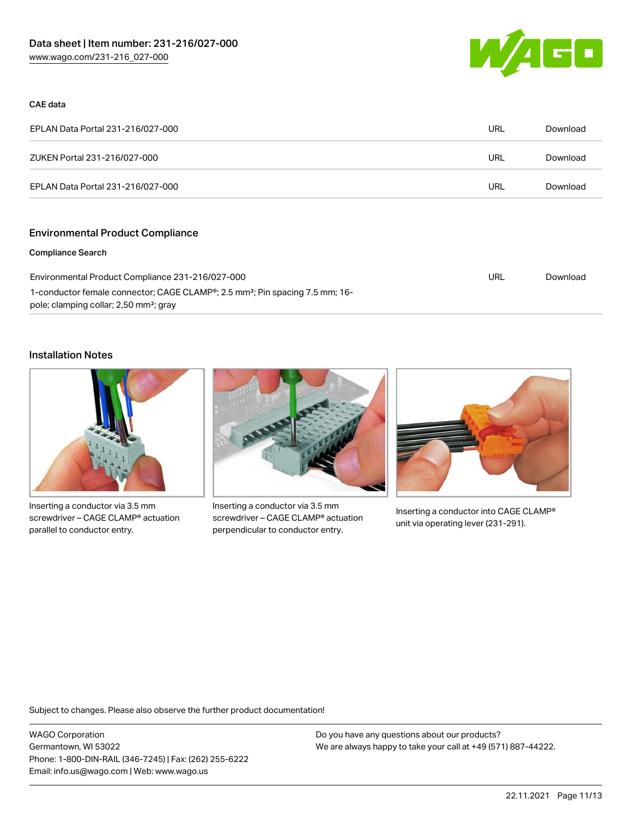

#### CAE data

| EPLAN Data Portal 231-216/027-000 | URL | Download |
|-----------------------------------|-----|----------|
| ZUKEN Portal 231-216/027-000      | URL | Download |
| EPLAN Data Portal 231-216/027-000 | URL | Download |

## Environmental Product Compliance

#### Compliance Search

| Environmental Product Compliance 231-216/027-000                                                      | URL | Download |
|-------------------------------------------------------------------------------------------------------|-----|----------|
| 1-conductor female connector; CAGE CLAMP <sup>®</sup> ; 2.5 mm <sup>2</sup> ; Pin spacing 7.5 mm; 16- |     |          |
| pole; clamping collar; 2,50 mm <sup>2</sup> ; gray                                                    |     |          |

#### Installation Notes



Inserting a conductor via 3.5 mm screwdriver – CAGE CLAMP® actuation parallel to conductor entry.



Inserting a conductor via 3.5 mm screwdriver – CAGE CLAMP® actuation perpendicular to conductor entry.



Inserting a conductor into CAGE CLAMP® unit via operating lever (231-291).

Subject to changes. Please also observe the further product documentation!

WAGO Corporation Germantown, WI 53022 Phone: 1-800-DIN-RAIL (346-7245) | Fax: (262) 255-6222 Email: info.us@wago.com | Web: www.wago.us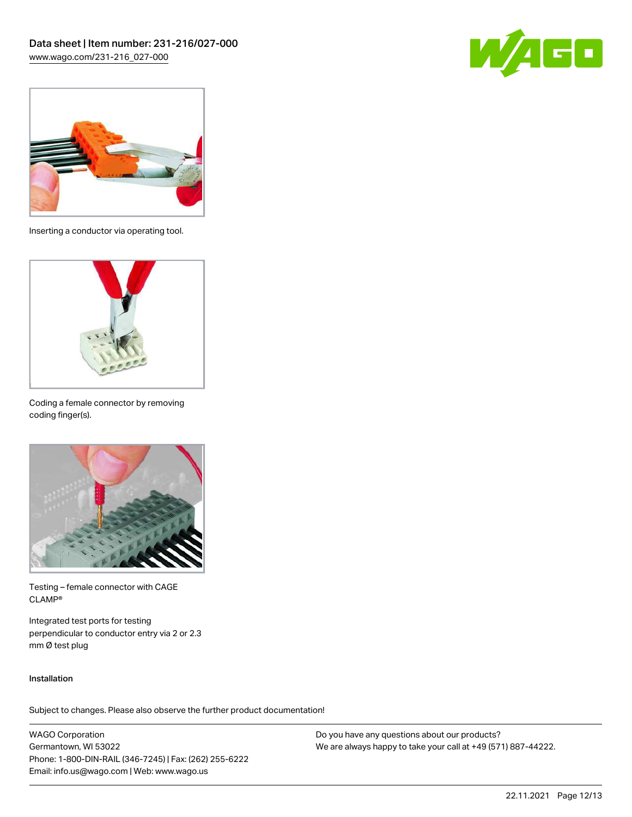



Inserting a conductor via operating tool.



Coding a female connector by removing coding finger(s).



Testing – female connector with CAGE CLAMP®

Integrated test ports for testing perpendicular to conductor entry via 2 or 2.3 mm Ø test plug

#### Installation

Subject to changes. Please also observe the further product documentation!

WAGO Corporation Germantown, WI 53022 Phone: 1-800-DIN-RAIL (346-7245) | Fax: (262) 255-6222 Email: info.us@wago.com | Web: www.wago.us